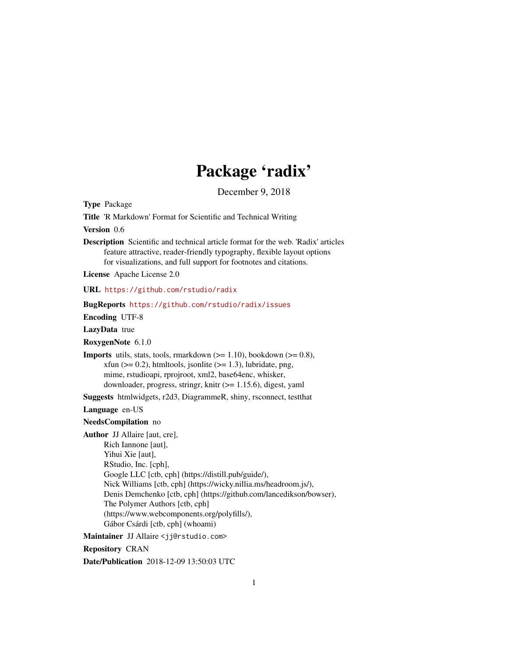# Package 'radix'

December 9, 2018

<span id="page-0-0"></span>Type Package

Title 'R Markdown' Format for Scientific and Technical Writing

Version 0.6

Description Scientific and technical article format for the web. 'Radix' articles feature attractive, reader-friendly typography, flexible layout options for visualizations, and full support for footnotes and citations.

License Apache License 2.0

URL <https://github.com/rstudio/radix>

BugReports <https://github.com/rstudio/radix/issues>

Encoding UTF-8

LazyData true

RoxygenNote 6.1.0

**Imports** utils, stats, tools, rmarkdown  $(>= 1.10)$ , bookdown  $(>= 0.8)$ , xfun ( $>= 0.2$ ), htmltools, jsonlite ( $>= 1.3$ ), lubridate, png, mime, rstudioapi, rprojroot, xml2, base64enc, whisker, downloader, progress, stringr, knitr  $(>= 1.15.6)$ , digest, yaml

Suggests htmlwidgets, r2d3, DiagrammeR, shiny, rsconnect, testthat

Language en-US

NeedsCompilation no

Author JJ Allaire [aut, cre],

Rich Iannone [aut], Yihui Xie [aut], RStudio, Inc. [cph], Google LLC [ctb, cph] (https://distill.pub/guide/), Nick Williams [ctb, cph] (https://wicky.nillia.ms/headroom.js/), Denis Demchenko [ctb, cph] (https://github.com/lancedikson/bowser), The Polymer Authors [ctb, cph] (https://www.webcomponents.org/polyfills/), Gábor Csárdi [ctb, cph] (whoami)

Maintainer JJ Allaire <jj@rstudio.com>

Repository CRAN

Date/Publication 2018-12-09 13:50:03 UTC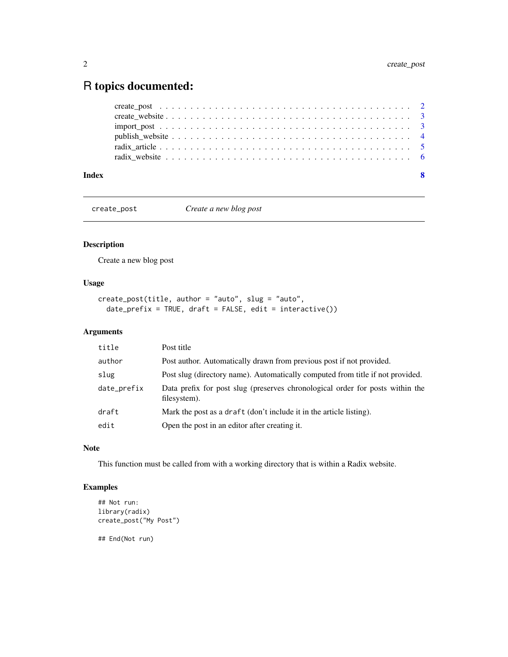# <span id="page-1-0"></span>R topics documented:

#### **Index** [8](#page-7-0) **8**

create\_post *Create a new blog post*

#### Description

Create a new blog post

# Usage

```
create_post(title, author = "auto", slug = "auto",
 date_prefix = TRUE, draft = FALSE, edit = interactive())
```
#### Arguments

| title       | Post title                                                                                    |
|-------------|-----------------------------------------------------------------------------------------------|
| author      | Post author. Automatically drawn from previous post if not provided.                          |
| slug        | Post slug (directory name). Automatically computed from title if not provided.                |
| date_prefix | Data prefix for post slug (preserves chronological order for posts within the<br>filesystem). |
| draft       | Mark the post as a draft (don't include it in the article listing).                           |
| edit        | Open the post in an editor after creating it.                                                 |

#### Note

This function must be called from with a working directory that is within a Radix website.

#### Examples

```
## Not run:
library(radix)
create_post("My Post")
```
## End(Not run)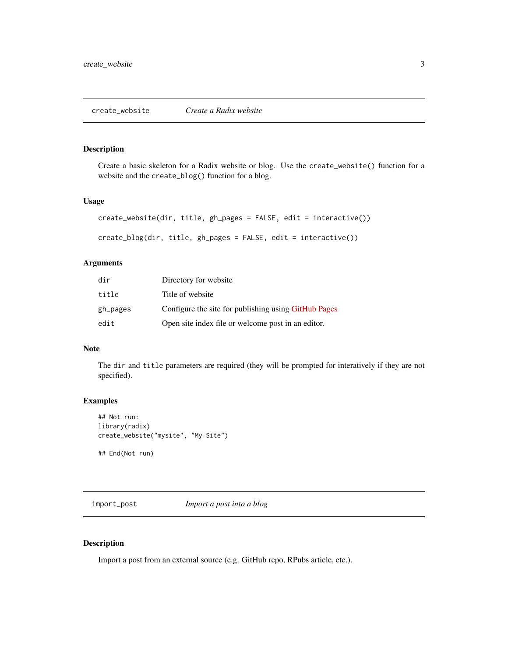# <span id="page-2-0"></span>Description

Create a basic skeleton for a Radix website or blog. Use the create\_website() function for a website and the create\_blog() function for a blog.

#### Usage

```
create_website(dir, title, gh_pages = FALSE, edit = interactive())
create_blog(dir, title, gh_pages = FALSE, edit = interactive())
```
#### Arguments

| dir      | Directory for website                                |
|----------|------------------------------------------------------|
| title    | Title of website                                     |
| gh_pages | Configure the site for publishing using GitHub Pages |
| edit     | Open site index file or welcome post in an editor.   |

#### Note

The dir and title parameters are required (they will be prompted for interatively if they are not specified).

#### Examples

```
## Not run:
library(radix)
create_website("mysite", "My Site")
```
## End(Not run)

import\_post *Import a post into a blog*

#### <span id="page-2-1"></span>Description

Import a post from an external source (e.g. GitHub repo, RPubs article, etc.).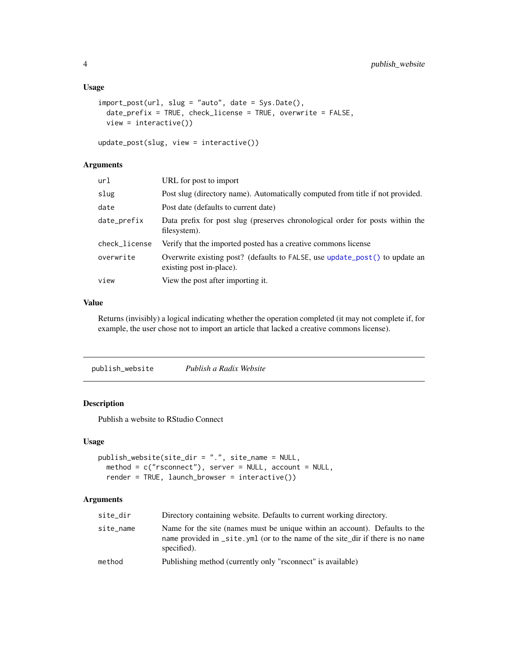#### <span id="page-3-0"></span>Usage

```
import_post(url, slug = "auto", date = Sys.Date(),
 date_prefix = TRUE, check_license = TRUE, overwrite = FALSE,
 view = interactive()
```

```
update_post(slug, view = interactive())
```
## Arguments

| url           | URL for post to import                                                                                  |
|---------------|---------------------------------------------------------------------------------------------------------|
| slug          | Post slug (directory name). Automatically computed from title if not provided.                          |
| date          | Post date (defaults to current date)                                                                    |
| date_prefix   | Data prefix for post slug (preserves chronological order for posts within the<br>filesystem).           |
| check_license | Verify that the imported posted has a creative commons license                                          |
| overwrite     | Overwrite existing post? (defaults to FALSE, use update_post() to update an<br>existing post in-place). |
| view          | View the post after importing it.                                                                       |
|               |                                                                                                         |

#### Value

Returns (invisibly) a logical indicating whether the operation completed (it may not complete if, for example, the user chose not to import an article that lacked a creative commons license).

publish\_website *Publish a Radix Website*

## Description

Publish a website to RStudio Connect

#### Usage

```
publish_website(site_dir = ".", site_name = NULL,
 method = c("rsconnect"), server = NULL, account = NULL,
  render = TRUE, launch_browser = interactive())
```
#### Arguments

| site_dir  | Directory containing website. Defaults to current working directory.                                                                                                          |
|-----------|-------------------------------------------------------------------------------------------------------------------------------------------------------------------------------|
| site_name | Name for the site (names must be unique within an account). Defaults to the<br>name provided in _site. yml (or to the name of the site dir if there is no name<br>specified). |
| method    | Publishing method (currently only "rsconnect" is available)                                                                                                                   |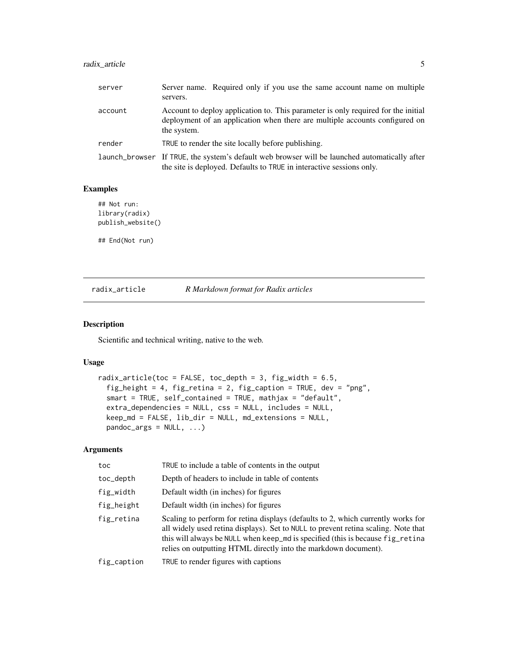# <span id="page-4-0"></span>radix\_article 5

| server  | Server name. Required only if you use the same account name on multiple<br>servers.                                                                                             |
|---------|---------------------------------------------------------------------------------------------------------------------------------------------------------------------------------|
| account | Account to deploy application to. This parameter is only required for the initial<br>deployment of an application when there are multiple accounts configured on<br>the system. |
| render  | TRUE to render the site locally before publishing.                                                                                                                              |
|         | launch_browser If TRUE, the system's default web browser will be launched automatically after<br>the site is deployed. Defaults to TRUE in interactive sessions only.           |

#### Examples

```
## Not run:
library(radix)
publish_website()
```
## End(Not run)

radix\_article *R Markdown format for Radix articles*

#### Description

Scientific and technical writing, native to the web.

#### Usage

```
radix_article(toc = FALSE, toc_depth = 3, fig_width = 6.5,
  fig_height = 4, fig_retina = 2, fig_caption = TRUE, dev = "png",
  smart = TRUE, self_contained = TRUE, mathjax = "default",
 extra_dependencies = NULL, css = NULL, includes = NULL,
 keep_md = FALSE, lib_dir = NULL, md_extensions = NULL,
 pandoc_args = NULL, \ldots)
```
#### Arguments

| toc         | TRUE to include a table of contents in the output                                                                                                                                                                                                                                                                           |
|-------------|-----------------------------------------------------------------------------------------------------------------------------------------------------------------------------------------------------------------------------------------------------------------------------------------------------------------------------|
| toc_depth   | Depth of headers to include in table of contents                                                                                                                                                                                                                                                                            |
| fig_width   | Default width (in inches) for figures                                                                                                                                                                                                                                                                                       |
| fig_height  | Default width (in inches) for figures                                                                                                                                                                                                                                                                                       |
| fig_retina  | Scaling to perform for retina displays (defaults to 2, which currently works for<br>all widely used retina displays). Set to NULL to prevent retina scaling. Note that<br>this will always be NULL when keep_md is specified (this is because fig_retina<br>relies on outputting HTML directly into the markdown document). |
| fig_caption | TRUE to render figures with captions                                                                                                                                                                                                                                                                                        |
|             |                                                                                                                                                                                                                                                                                                                             |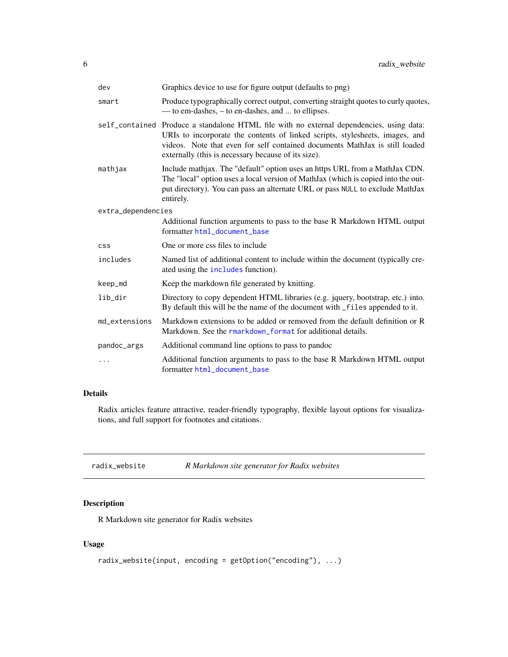<span id="page-5-0"></span>

| dev                | Graphics device to use for figure output (defaults to png)                                                                                                                                                                                                                                                     |
|--------------------|----------------------------------------------------------------------------------------------------------------------------------------------------------------------------------------------------------------------------------------------------------------------------------------------------------------|
| smart              | Produce typographically correct output, converting straight quotes to curly quotes,<br>— to em-dashes, – to en-dashes, and  to ellipses.                                                                                                                                                                       |
|                    | self_contained Produce a standalone HTML file with no external dependencies, using data:<br>URIs to incorporate the contents of linked scripts, stylesheets, images, and<br>videos. Note that even for self contained documents MathJax is still loaded<br>externally (this is necessary because of its size). |
| mathjax            | Include mathjax. The "default" option uses an https URL from a MathJax CDN.<br>The "local" option uses a local version of MathJax (which is copied into the out-<br>put directory). You can pass an alternate URL or pass NULL to exclude MathJax<br>entirely.                                                 |
| extra_dependencies |                                                                                                                                                                                                                                                                                                                |
|                    | Additional function arguments to pass to the base R Markdown HTML output<br>formatter html document base                                                                                                                                                                                                       |
| <b>CSS</b>         | One or more css files to include                                                                                                                                                                                                                                                                               |
| includes           | Named list of additional content to include within the document (typically cre-<br>ated using the includes function).                                                                                                                                                                                          |
| keep_md            | Keep the markdown file generated by knitting.                                                                                                                                                                                                                                                                  |
| lib_dir            | Directory to copy dependent HTML libraries (e.g. jquery, bootstrap, etc.) into.<br>By default this will be the name of the document with _files appended to it.                                                                                                                                                |
| md_extensions      | Markdown extensions to be added or removed from the default definition or R<br>Markdown. See the rmarkdown_format for additional details.                                                                                                                                                                      |
| pandoc_args        | Additional command line options to pass to pandoc                                                                                                                                                                                                                                                              |
| .                  | Additional function arguments to pass to the base R Markdown HTML output<br>formatter html_document_base                                                                                                                                                                                                       |

# Details

Radix articles feature attractive, reader-friendly typography, flexible layout options for visualizations, and full support for footnotes and citations.

| radix_website | R Markdown site generator for Radix websites |
|---------------|----------------------------------------------|
|---------------|----------------------------------------------|

# Description

R Markdown site generator for Radix websites

# Usage

```
radix_website(input, encoding = getOption("encoding"), ...)
```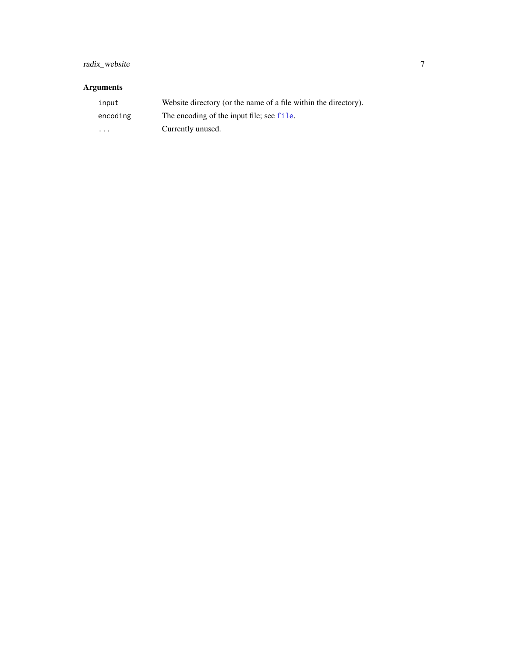# <span id="page-6-0"></span>radix\_website 7

# Arguments

| input                   | Website directory (or the name of a file within the directory). |
|-------------------------|-----------------------------------------------------------------|
| encoding                | The encoding of the input file; see file.                       |
| $\cdot$ $\cdot$ $\cdot$ | Currently unused.                                               |